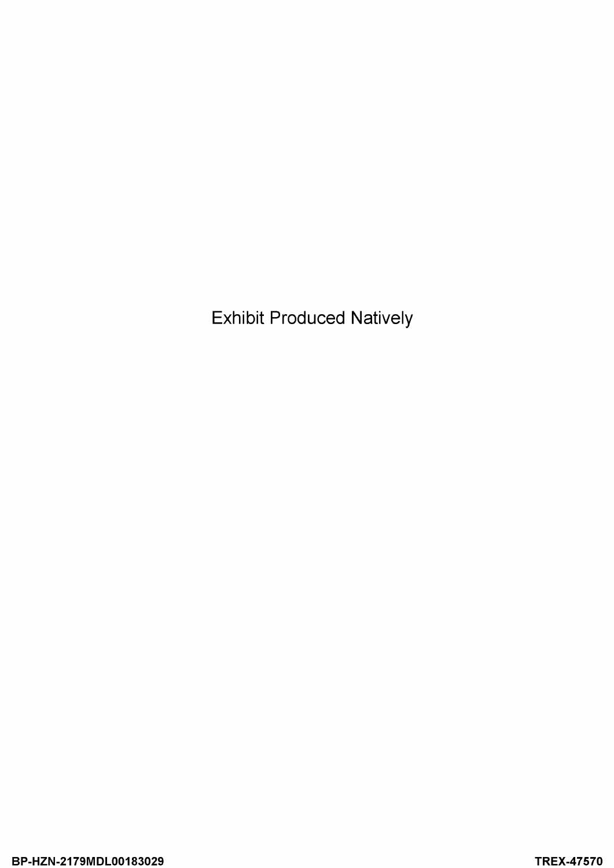Exhibit Produced Natively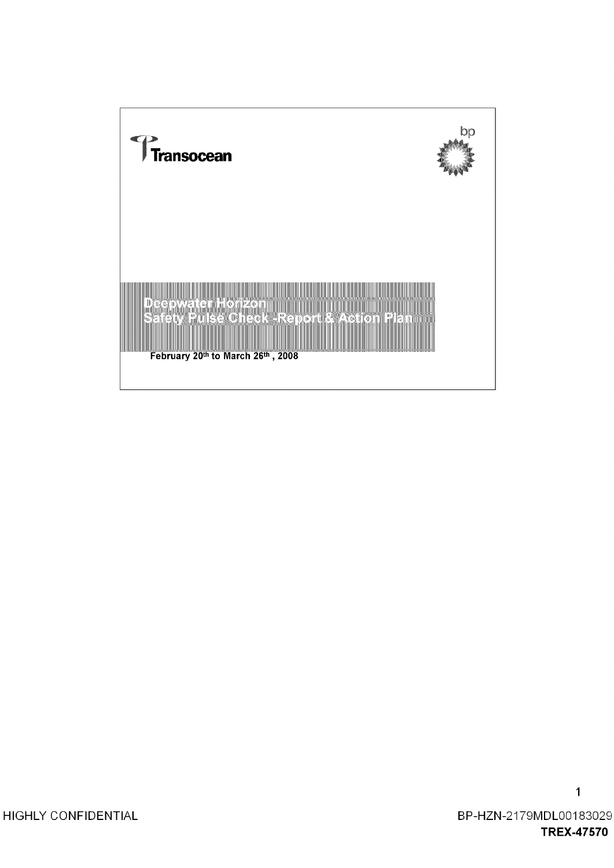

 $\mathbf{1}$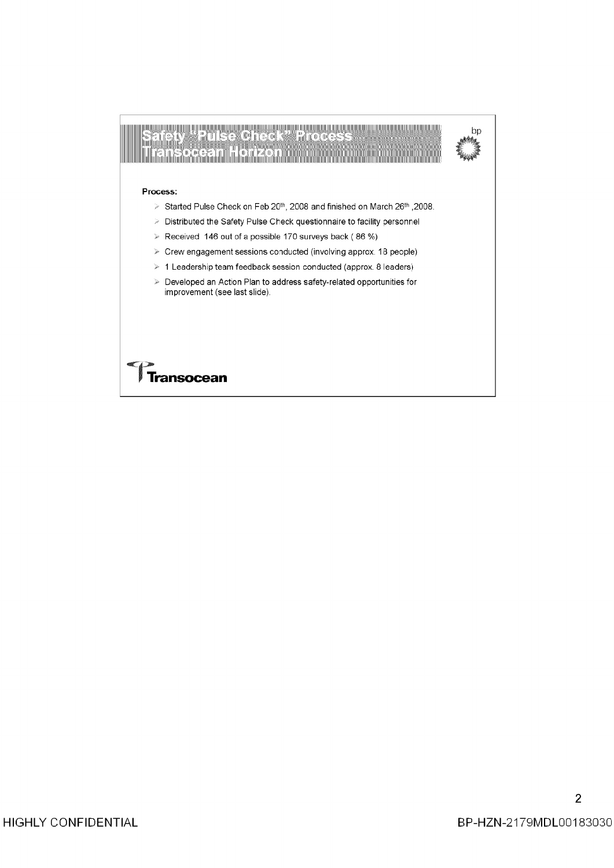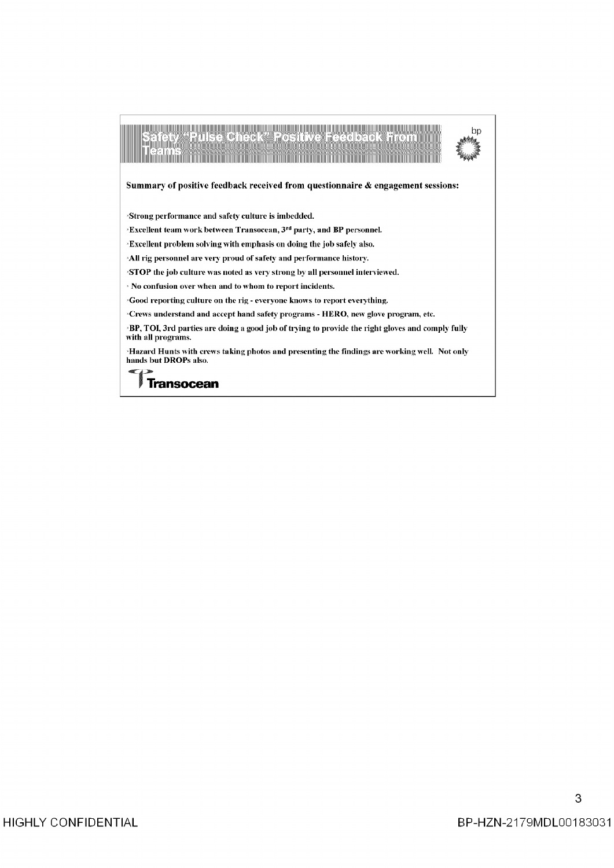| (0) - 1 1 7 (- 10 - 1 - 1 - 1 0 1 0 )                                                                                              |
|------------------------------------------------------------------------------------------------------------------------------------|
| Summary of positive feedback received from questionnaire & engagement sessions:                                                    |
| Strong performance and safety culture is imbedded.                                                                                 |
| <b>Excellent team work between Transocean, 3rd party, and BP personnel.</b>                                                        |
| Excellent problem solving with emphasis on doing the job safely also.                                                              |
| All rig personnel are very proud of safety and performance history.                                                                |
| STOP the job culture was noted as very strong by all personnel interviewed.                                                        |
| Mo confusion over when and to whom to report incidents.                                                                            |
| Good reporting culture on the rig - everyone knows to report everything.                                                           |
| $\cdot$ Crews understand and accept hand safety programs - HERO, new glove program, etc.                                           |
| $\mathbf P$ BP, TOI, 3rd parties are doing a good job of trying to provide the right gloves and comply fully<br>with all programs. |
| Hazard Hunts with crews taking photos and presenting the findings are working well. Not only<br>hands but DROPs also.              |
|                                                                                                                                    |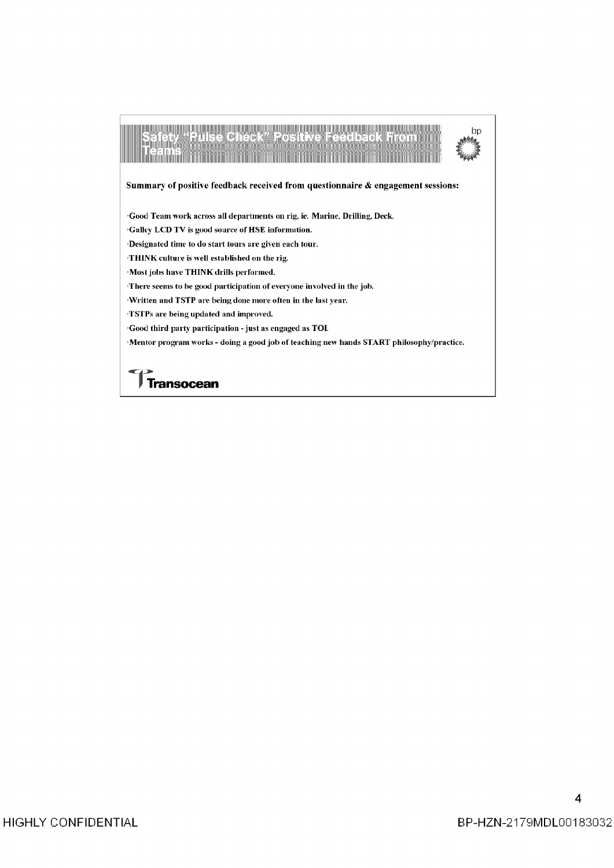| lise Oneek" Positive Feedback                                                                                     |  |
|-------------------------------------------------------------------------------------------------------------------|--|
| Summary of positive feedback received from questionnaire & engagement sessions:                                   |  |
| <i><b>Cood Team work across all departments on rig, ie. Marine, Drilling, Deck.</b> <math>\overline{a}</math></i> |  |
| <sup>3</sup> Galley LCD TV is good source of HSE information.                                                     |  |
| Designated time to do start tours are given each tour.                                                            |  |
| <b>THINK</b> culture is well established on the rig.                                                              |  |
| <b>Most jobs have THINK drills performed.</b>                                                                     |  |
| There seems to be good participation of everyone involved in the job.                                             |  |
| Written and TSTP are being done more often in the last year.                                                      |  |
| <b>TSTPs are being updated and improved.</b>                                                                      |  |
| $\cdot$ Good third party participation - just as engaged as TOI.                                                  |  |
| Mentor program works - doing a good job of teaching new hands START philosophy/practice.                          |  |
|                                                                                                                   |  |
|                                                                                                                   |  |
|                                                                                                                   |  |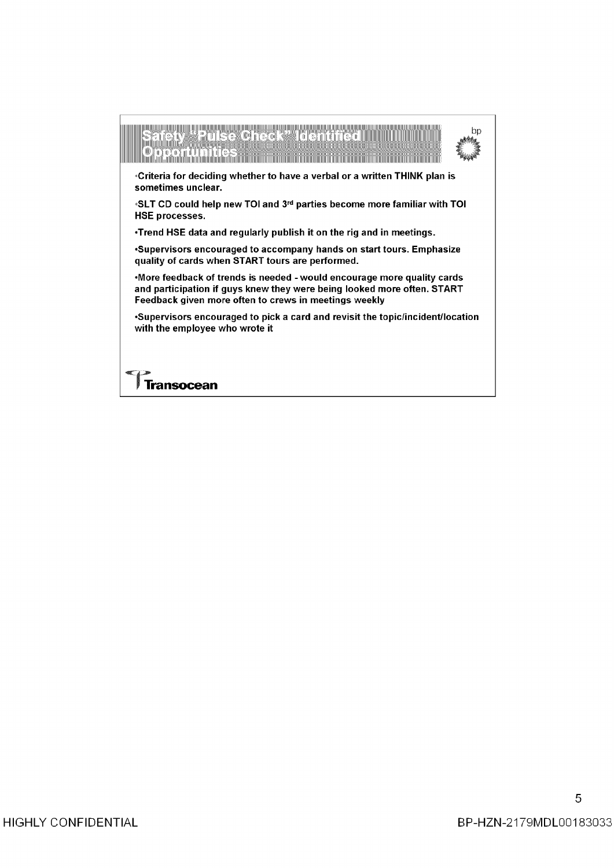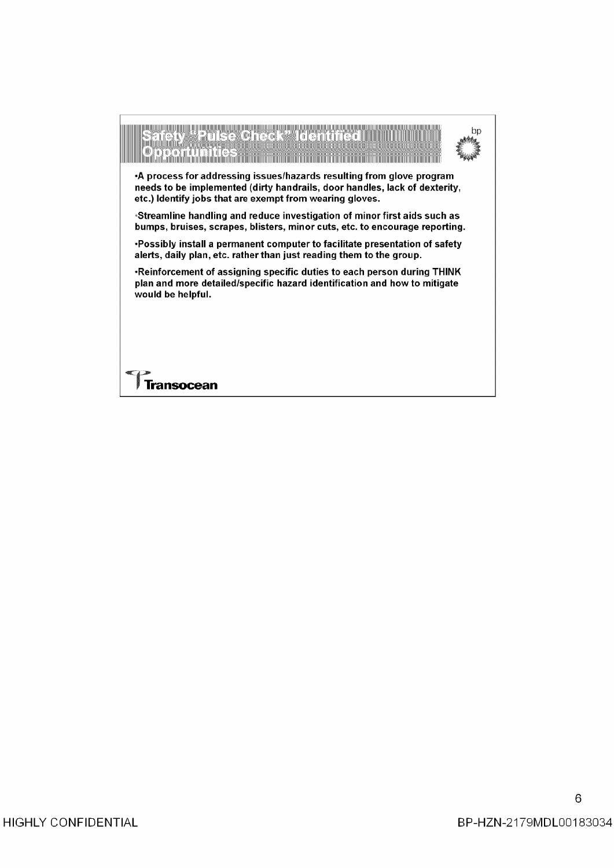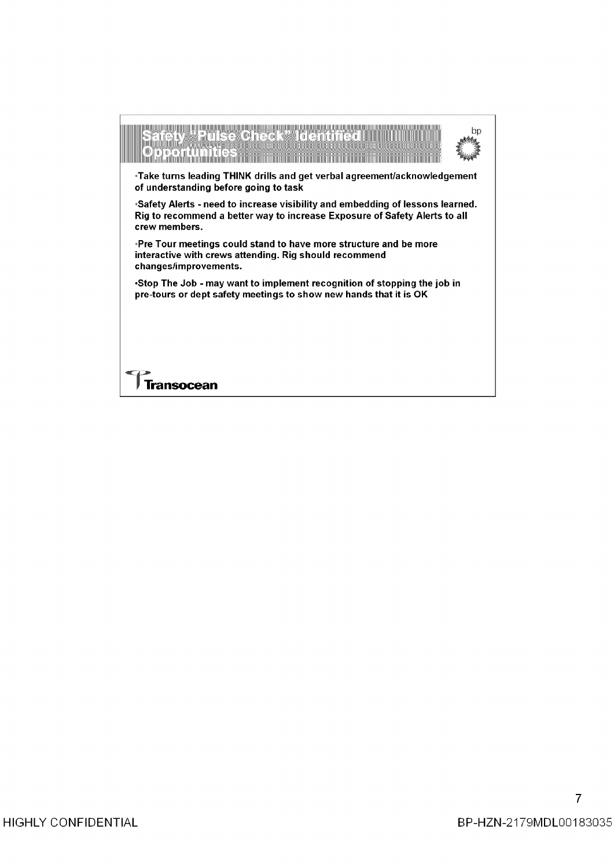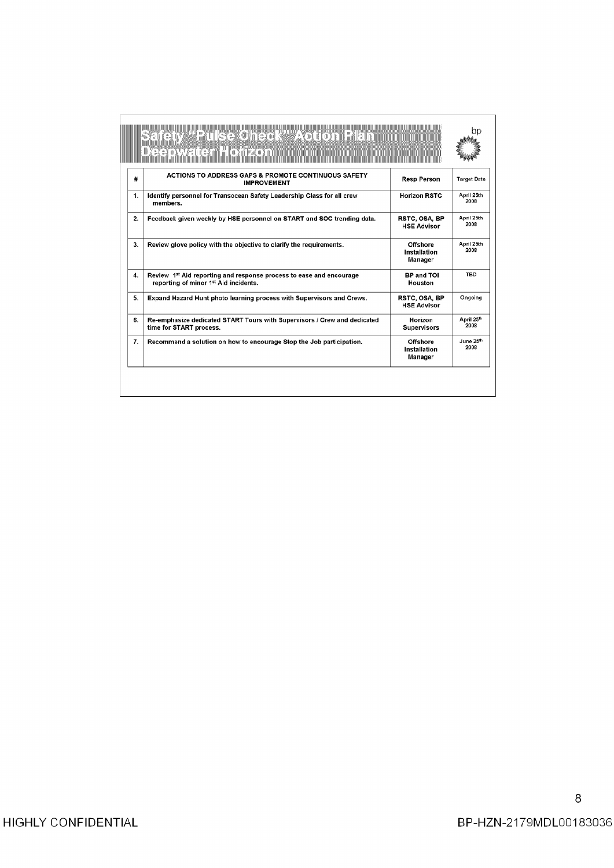|                    | <b>EXECTED</b><br>zon minimilili                                                                                         |                                            |                    |
|--------------------|--------------------------------------------------------------------------------------------------------------------------|--------------------------------------------|--------------------|
| #                  | ACTIONS TO ADDRESS GAPS & PROMOTE CONTINUOUS SAFETY<br><b>IMPROVEMENT</b>                                                | <b>Resp Person</b>                         | <b>Target Date</b> |
| $\mathbf{1}$ .     | Identify personnel for Transocean Safety Leadership Class for all crew<br>members.                                       | <b>Horizon RSTC</b>                        | April 25th<br>2008 |
| 2.                 | Feedback given weekly by HSE personnel on START and SOC trending data.                                                   | RSTC, OSA, BP<br><b>HSE Advisor</b>        | April 25th<br>2008 |
| 3.                 | Review glove policy with the objective to clarify the requirements.                                                      | <b>Offshore</b><br>Installation<br>Manager | April 25th<br>2008 |
| $\boldsymbol{4}$ . | Review 1st Aid reporting and response process to ease and encourage<br>reporting of minor 1 <sup>st</sup> Aid incidents. | <b>BP and TOI</b><br>Houston               | TBD                |
| 5.                 | Expand Hazard Hunt photo learning process with Supervisors and Crews.                                                    | RSTC, OSA, BP<br><b>HSE Advisor</b>        | Ongoing            |
| 6.                 | Re-emphasize dedicated START Tours with Supervisors / Crew and dedicated<br>time for START process.                      | Horizon<br><b>Supervisors</b>              | April 25th<br>2008 |
| $\overline{r}$ .   | Recommend a solution on how to encourage Stop the Job participation.                                                     | Offshore<br>Installation<br>Manager        | June 25th<br>2008  |